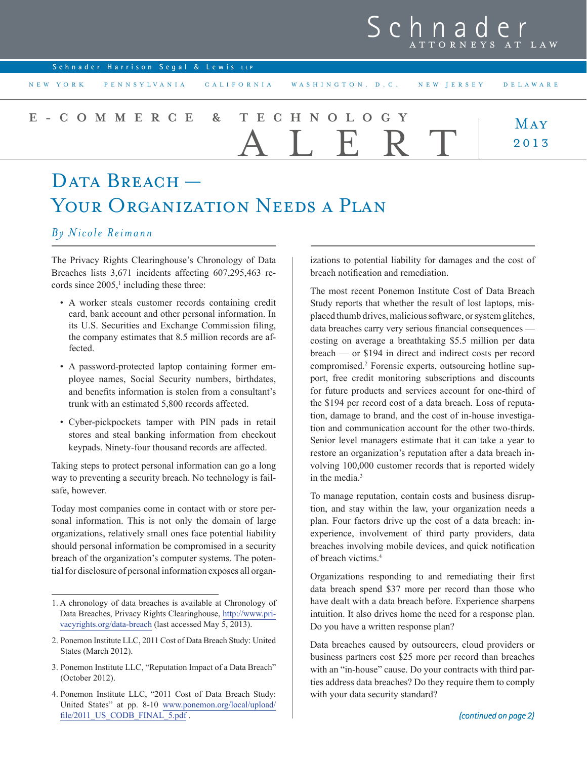# Schnader ATTORNEYS AT LAW

| Schnader Harrison Segal & Lewis LLP |
|-------------------------------------|
|-------------------------------------|

## **MAY** 2013 **e-commerce & technology** ALERT

# DATA BREACH — YOUR ORGANIZATION NEEDS A PLAN

### *By Nicole Reimann*

The Privacy Rights Clearinghouse's Chronology of Data Breaches lists 3,671 incidents affecting 607,295,463 records since  $2005$ ,<sup>1</sup> including these three:

- A worker steals customer records containing credit card, bank account and other personal information. In its U.S. Securities and Exchange Commission filing, the company estimates that 8.5 million records are affected.
- A password-protected laptop containing former employee names, Social Security numbers, birthdates, and benefits information is stolen from a consultant's trunk with an estimated 5,800 records affected.
- Cyber-pickpockets tamper with PIN pads in retail stores and steal banking information from checkout keypads. Ninety-four thousand records are affected.

Taking steps to protect personal information can go a long way to preventing a security breach. No technology is failsafe, however.

Today most companies come in contact with or store personal information. This is not only the domain of large organizations, relatively small ones face potential liability should personal information be compromised in a security breach of the organization's computer systems. The potential for disclosure of personal information exposes all organ-

izations to potential liability for damages and the cost of breach notification and remediation.

The most recent Ponemon Institute Cost of Data Breach Study reports that whether the result of lost laptops, misplaced thumb drives, malicious software, or system glitches, data breaches carry very serious financial consequences costing on average a breathtaking \$5.5 million per data breach — or \$194 in direct and indirect costs per record compromised.<sup>2</sup> Forensic experts, outsourcing hotline support, free credit monitoring subscriptions and discounts for future products and services account for one-third of the \$194 per record cost of a data breach. Loss of reputation, damage to brand, and the cost of in-house investigation and communication account for the other two-thirds. Senior level managers estimate that it can take a year to restore an organization's reputation after a data breach involving 100,000 customer records that is reported widely in the media.<sup>3</sup>

To manage reputation, contain costs and business disruption, and stay within the law, your organization needs a plan. Four factors drive up the cost of a data breach: inexperience, involvement of third party providers, data breaches involving mobile devices, and quick notification of breach victims.4

Organizations responding to and remediating their first data breach spend \$37 more per record than those who have dealt with a data breach before. Experience sharpens intuition. It also drives home the need for a response plan. Do you have a written response plan?

Data breaches caused by outsourcers, cloud providers or business partners cost \$25 more per record than breaches with an "in-house" cause. Do your contracts with third parties address data breaches? Do they require them to comply with your data security standard?

<sup>1.</sup> A chronology of data breaches is available at Chronology of Data Breaches, Privacy Rights Clearinghouse, [http://www.pri](http://www.privacyrights.org/data-breach)[vacyrights.org/data-breach](http://www.privacyrights.org/data-breach) (last accessed May 5, 2013).

<sup>2.</sup> Ponemon Institute LLC, 2011 Cost of Data Breach Study: United States (March 2012).

<sup>3.</sup> Ponemon Institute LLC, "Reputation Impact of a Data Breach" (October 2012).

<sup>4.</sup> Ponemon Institute LLC, "2011 Cost of Data Breach Study: United States" at pp. 8-10 [www.ponemon.org/local/upload/](http://www.ponemon.org/local/upload/file/2011_US_CODB_FINAL_5.pdf) [file/2011\\_US\\_CODB\\_FINAL\\_5.pdf](http://www.ponemon.org/local/upload/file/2011_US_CODB_FINAL_5.pdf).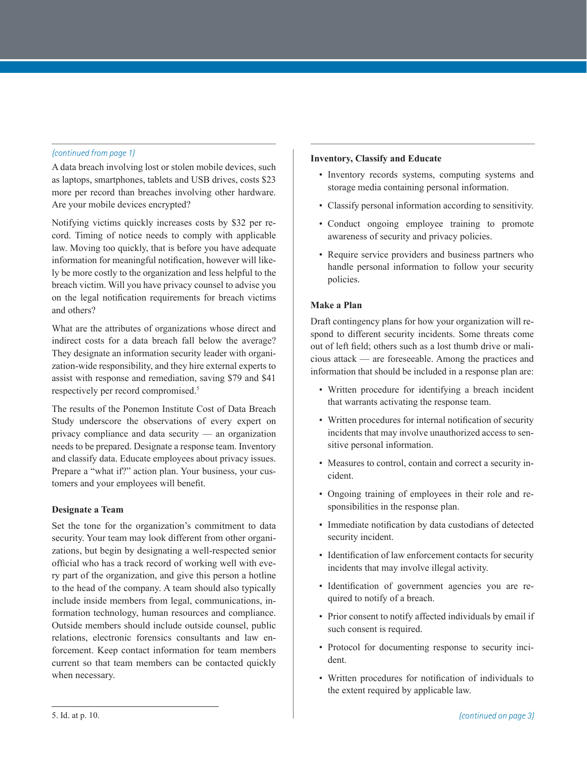A data breach involving lost or stolen mobile devices, such as laptops, smartphones, tablets and USB drives, costs \$23 more per record than breaches involving other hardware. Are your mobile devices encrypted?

Notifying victims quickly increases costs by \$32 per record. Timing of notice needs to comply with applicable law. Moving too quickly, that is before you have adequate information for meaningful notification, however will likely be more costly to the organization and less helpful to the breach victim. Will you have privacy counsel to advise you on the legal notification requirements for breach victims and others?

What are the attributes of organizations whose direct and indirect costs for a data breach fall below the average? They designate an information security leader with organization-wide responsibility, and they hire external experts to assist with response and remediation, saving \$79 and \$41 respectively per record compromised.<sup>5</sup>

The results of the Ponemon Institute Cost of Data Breach Study underscore the observations of every expert on privacy compliance and data security — an organization needs to be prepared. Designate a response team. Inventory and classify data. Educate employees about privacy issues. Prepare a "what if?" action plan. Your business, your customers and your employees will benefit.

#### **Designate a Team**

Set the tone for the organization's commitment to data security. Your team may look different from other organizations, but begin by designating a well-respected senior official who has a track record of working well with every part of the organization, and give this person a hotline to the head of the company. A team should also typically include inside members from legal, communications, information technology, human resources and compliance. Outside members should include outside counsel, public relations, electronic forensics consultants and law enforcement. Keep contact information for team members current so that team members can be contacted quickly when necessary.

# *(continued from page 1)* **Inventory, Classify and Educate**

- Inventory records systems, computing systems and storage media containing personal information.
- Classify personal information according to sensitivity.
- Conduct ongoing employee training to promote awareness of security and privacy policies.
- Require service providers and business partners who handle personal information to follow your security policies.

#### **Make a Plan**

Draft contingency plans for how your organization will respond to different security incidents. Some threats come out of left field; others such as a lost thumb drive or malicious attack — are foreseeable. Among the practices and information that should be included in a response plan are:

- Written procedure for identifying a breach incident that warrants activating the response team.
- Written procedures for internal notification of security incidents that may involve unauthorized access to sensitive personal information.
- Measures to control, contain and correct a security incident.
- Ongoing training of employees in their role and responsibilities in the response plan.
- Immediate notification by data custodians of detected security incident.
- Identification of law enforcement contacts for security incidents that may involve illegal activity.
- Identification of government agencies you are required to notify of a breach.
- Prior consent to notify affected individuals by email if such consent is required.
- Protocol for documenting response to security incident.
- Written procedures for notification of individuals to the extent required by applicable law.